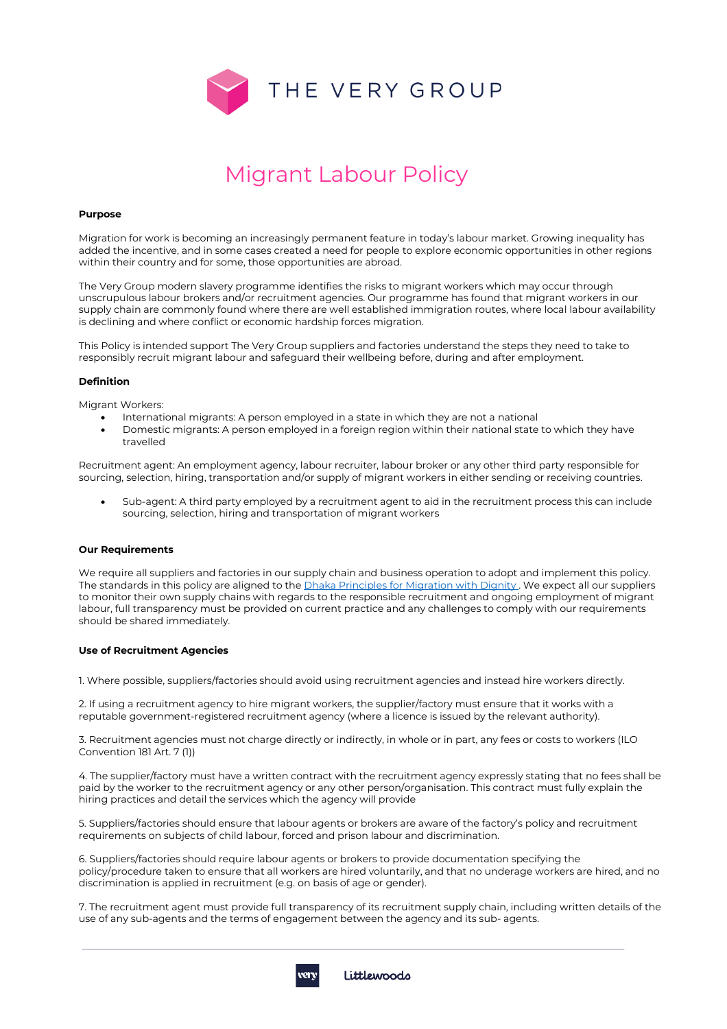

# Migrant Labour Policy

#### **Purpose**

Migration for work is becoming an increasingly permanent feature in today's labour market. Growing inequality has added the incentive, and in some cases created a need for people to explore economic opportunities in other regions within their country and for some, those opportunities are abroad.

The Very Group modern slavery programme identifies the risks to migrant workers which may occur through unscrupulous labour brokers and/or recruitment agencies. Our programme has found that migrant workers in our supply chain are commonly found where there are well established immigration routes, where local labour availability is declining and where conflict or economic hardship forces migration.

This Policy is intended support The Very Group suppliers and factories understand the steps they need to take to responsibly recruit migrant labour and safeguard their wellbeing before, during and after employment.

### **Definition**

Migrant Workers:

- International migrants: A person employed in a state in which they are not a national
- Domestic migrants: A person employed in a foreign region within their national state to which they have travelled

Recruitment agent: An employment agency, labour recruiter, labour broker or any other third party responsible for sourcing, selection, hiring, transportation and/or supply of migrant workers in either sending or receiving countries.

• Sub-agent: A third party employed by a recruitment agent to aid in the recruitment process this can include sourcing, selection, hiring and transportation of migrant workers

#### **Our Requirements**

We require all suppliers and factories in our supply chain and business operation to adopt and implement this policy. The standards in this policy are aligned to the *Dhaka Principles for Migration with Dignity*. We expect all our suppliers to monitor their own supply chains with regards to the responsible recruitment and ongoing employment of migrant labour, full transparency must be provided on current practice and any challenges to comply with our requirements should be shared immediately.

#### **Use of Recruitment Agencies**

1. Where possible, suppliers/factories should avoid using recruitment agencies and instead hire workers directly.

2. If using a recruitment agency to hire migrant workers, the supplier/factory must ensure that it works with a reputable government-registered recruitment agency (where a licence is issued by the relevant authority).

3. Recruitment agencies must not charge directly or indirectly, in whole or in part, any fees or costs to workers (ILO Convention 181 Art. 7 (1))

4. The supplier/factory must have a written contract with the recruitment agency expressly stating that no fees shall be paid by the worker to the recruitment agency or any other person/organisation. This contract must fully explain the hiring practices and detail the services which the agency will provide

5. Suppliers/factories should ensure that labour agents or brokers are aware of the factory's policy and recruitment requirements on subjects of child labour, forced and prison labour and discrimination.

6. Suppliers/factories should require labour agents or brokers to provide documentation specifying the policy/procedure taken to ensure that all workers are hired voluntarily, and that no underage workers are hired, and no discrimination is applied in recruitment (e.g. on basis of age or gender).

7. The recruitment agent must provide full transparency of its recruitment supply chain, including written details of the use of any sub-agents and the terms of engagement between the agency and its sub- agents.

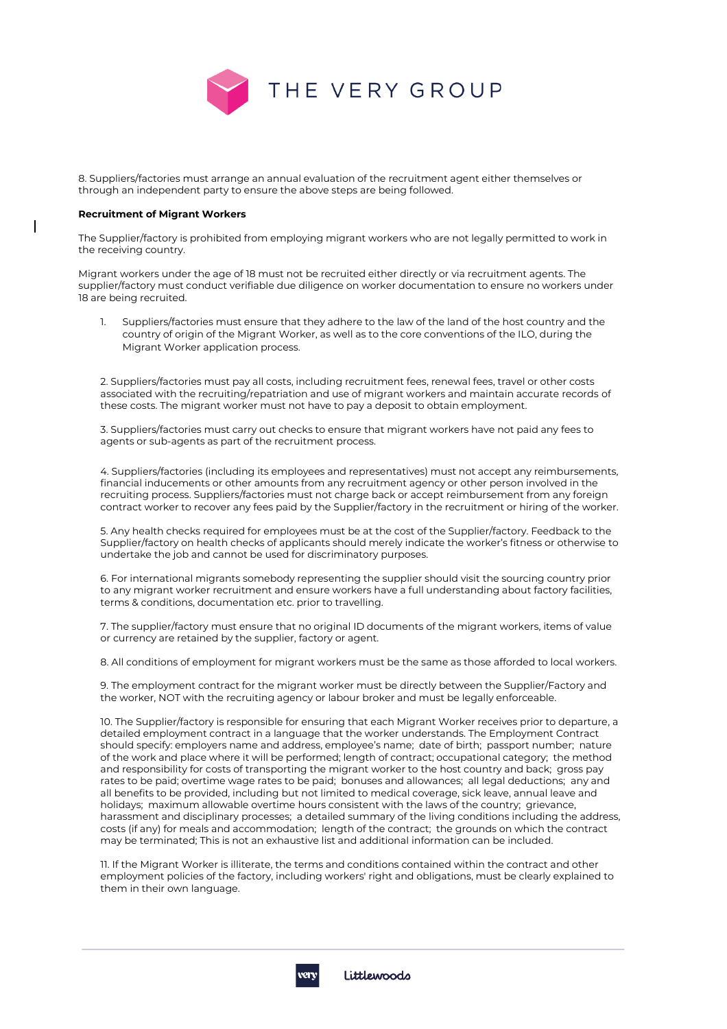

8. Suppliers/factories must arrange an annual evaluation of the recruitment agent either themselves or through an independent party to ensure the above steps are being followed.

## **Recruitment of Migrant Workers**

The Supplier/factory is prohibited from employing migrant workers who are not legally permitted to work in the receiving country.

Migrant workers under the age of 18 must not be recruited either directly or via recruitment agents. The supplier/factory must conduct verifiable due diligence on worker documentation to ensure no workers under 18 are being recruited.

1. Suppliers/factories must ensure that they adhere to the law of the land of the host country and the country of origin of the Migrant Worker, as well as to the core conventions of the ILO, during the Migrant Worker application process.

2. Suppliers/factories must pay all costs, including recruitment fees, renewal fees, travel or other costs associated with the recruiting/repatriation and use of migrant workers and maintain accurate records of these costs. The migrant worker must not have to pay a deposit to obtain employment.

3. Suppliers/factories must carry out checks to ensure that migrant workers have not paid any fees to agents or sub-agents as part of the recruitment process.

4. Suppliers/factories (including its employees and representatives) must not accept any reimbursements, financial inducements or other amounts from any recruitment agency or other person involved in the recruiting process. Suppliers/factories must not charge back or accept reimbursement from any foreign contract worker to recover any fees paid by the Supplier/factory in the recruitment or hiring of the worker.

5. Any health checks required for employees must be at the cost of the Supplier/factory. Feedback to the Supplier/factory on health checks of applicants should merely indicate the worker's fitness or otherwise to undertake the job and cannot be used for discriminatory purposes.

6. For international migrants somebody representing the supplier should visit the sourcing country prior to any migrant worker recruitment and ensure workers have a full understanding about factory facilities, terms & conditions, documentation etc. prior to travelling.

7. The supplier/factory must ensure that no original ID documents of the migrant workers, items of value or currency are retained by the supplier, factory or agent.

8. All conditions of employment for migrant workers must be the same as those afforded to local workers.

9. The employment contract for the migrant worker must be directly between the Supplier/Factory and the worker, NOT with the recruiting agency or labour broker and must be legally enforceable.

10. The Supplier/factory is responsible for ensuring that each Migrant Worker receives prior to departure, a detailed employment contract in a language that the worker understands. The Employment Contract should specify: employers name and address, employee's name; date of birth; passport number; nature of the work and place where it will be performed; length of contract; occupational category; the method and responsibility for costs of transporting the migrant worker to the host country and back; gross pay rates to be paid; overtime wage rates to be paid; bonuses and allowances; all legal deductions; any and all benefits to be provided, including but not limited to medical coverage, sick leave, annual leave and holidays; maximum allowable overtime hours consistent with the laws of the country; grievance, harassment and disciplinary processes; a detailed summary of the living conditions including the address, costs (if any) for meals and accommodation; length of the contract; the grounds on which the contract may be terminated; This is not an exhaustive list and additional information can be included.

11. If the Migrant Worker is illiterate, the terms and conditions contained within the contract and other employment policies of the factory, including workers' right and obligations, must be clearly explained to them in their own language.

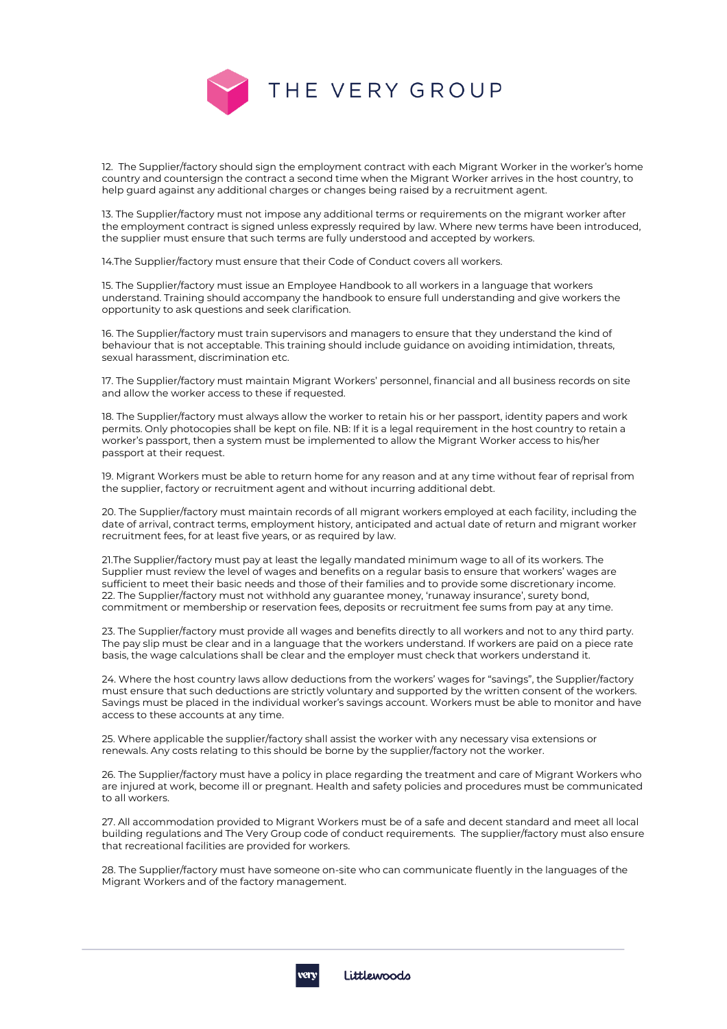

12. The Supplier/factory should sign the employment contract with each Migrant Worker in the worker's home country and countersign the contract a second time when the Migrant Worker arrives in the host country, to help guard against any additional charges or changes being raised by a recruitment agent.

13. The Supplier/factory must not impose any additional terms or requirements on the migrant worker after the employment contract is signed unless expressly required by law. Where new terms have been introduced, the supplier must ensure that such terms are fully understood and accepted by workers.

14.The Supplier/factory must ensure that their Code of Conduct covers all workers.

15. The Supplier/factory must issue an Employee Handbook to all workers in a language that workers understand. Training should accompany the handbook to ensure full understanding and give workers the opportunity to ask questions and seek clarification.

16. The Supplier/factory must train supervisors and managers to ensure that they understand the kind of behaviour that is not acceptable. This training should include guidance on avoiding intimidation, threats, sexual harassment, discrimination etc.

17. The Supplier/factory must maintain Migrant Workers' personnel, financial and all business records on site and allow the worker access to these if requested.

18. The Supplier/factory must always allow the worker to retain his or her passport, identity papers and work permits. Only photocopies shall be kept on file. NB: If it is a legal requirement in the host country to retain a worker's passport, then a system must be implemented to allow the Migrant Worker access to his/her passport at their request.

19. Migrant Workers must be able to return home for any reason and at any time without fear of reprisal from the supplier, factory or recruitment agent and without incurring additional debt.

20. The Supplier/factory must maintain records of all migrant workers employed at each facility, including the date of arrival, contract terms, employment history, anticipated and actual date of return and migrant worker recruitment fees, for at least five years, or as required by law.

21.The Supplier/factory must pay at least the legally mandated minimum wage to all of its workers. The Supplier must review the level of wages and benefits on a regular basis to ensure that workers' wages are sufficient to meet their basic needs and those of their families and to provide some discretionary income. 22. The Supplier/factory must not withhold any guarantee money, 'runaway insurance', surety bond, commitment or membership or reservation fees, deposits or recruitment fee sums from pay at any time.

23. The Supplier/factory must provide all wages and benefits directly to all workers and not to any third party. The pay slip must be clear and in a language that the workers understand. If workers are paid on a piece rate basis, the wage calculations shall be clear and the employer must check that workers understand it.

24. Where the host country laws allow deductions from the workers' wages for "savings", the Supplier/factory must ensure that such deductions are strictly voluntary and supported by the written consent of the workers. Savings must be placed in the individual worker's savings account. Workers must be able to monitor and have access to these accounts at any time.

25. Where applicable the supplier/factory shall assist the worker with any necessary visa extensions or renewals. Any costs relating to this should be borne by the supplier/factory not the worker.

26. The Supplier/factory must have a policy in place regarding the treatment and care of Migrant Workers who are injured at work, become ill or pregnant. Health and safety policies and procedures must be communicated to all workers.

27. All accommodation provided to Migrant Workers must be of a safe and decent standard and meet all local building regulations and The Very Group code of conduct requirements. The supplier/factory must also ensure that recreational facilities are provided for workers.

28. The Supplier/factory must have someone on-site who can communicate fluently in the languages of the Migrant Workers and of the factory management.